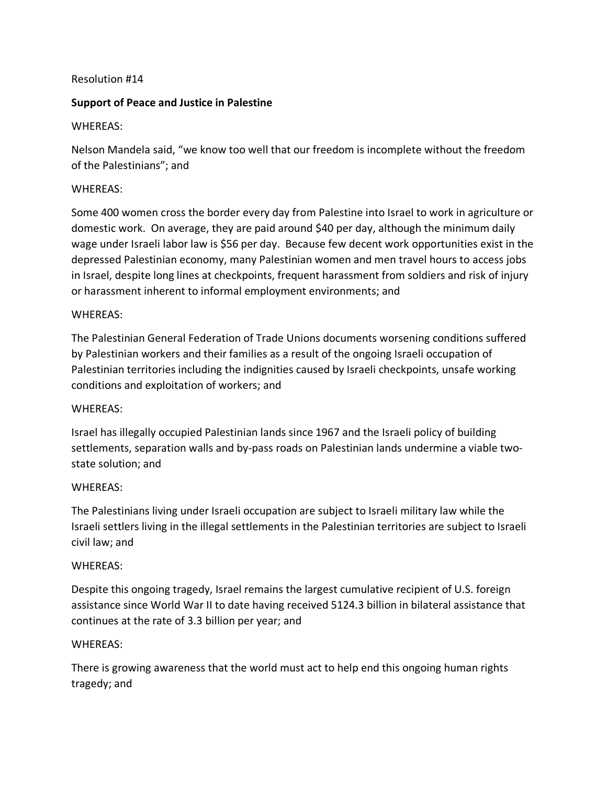### Resolution #14

# **Support of Peace and Justice in Palestine**

# WHEREAS:

Nelson Mandela said, "we know too well that our freedom is incomplete without the freedom of the Palestinians"; and

### WHEREAS:

Some 400 women cross the border every day from Palestine into Israel to work in agriculture or domestic work. On average, they are paid around \$40 per day, although the minimum daily wage under Israeli labor law is \$56 per day. Because few decent work opportunities exist in the depressed Palestinian economy, many Palestinian women and men travel hours to access jobs in Israel, despite long lines at checkpoints, frequent harassment from soldiers and risk of injury or harassment inherent to informal employment environments; and

#### WHEREAS:

The Palestinian General Federation of Trade Unions documents worsening conditions suffered by Palestinian workers and their families as a result of the ongoing Israeli occupation of Palestinian territories including the indignities caused by Israeli checkpoints, unsafe working conditions and exploitation of workers; and

#### WHEREAS:

Israel has illegally occupied Palestinian lands since 1967 and the Israeli policy of building settlements, separation walls and by-pass roads on Palestinian lands undermine a viable twostate solution; and

#### WHEREAS:

The Palestinians living under Israeli occupation are subject to Israeli military law while the Israeli settlers living in the illegal settlements in the Palestinian territories are subject to Israeli civil law; and

#### WHEREAS:

Despite this ongoing tragedy, Israel remains the largest cumulative recipient of U.S. foreign assistance since World War II to date having received 5124.3 billion in bilateral assistance that continues at the rate of 3.3 billion per year; and

#### WHEREAS:

There is growing awareness that the world must act to help end this ongoing human rights tragedy; and